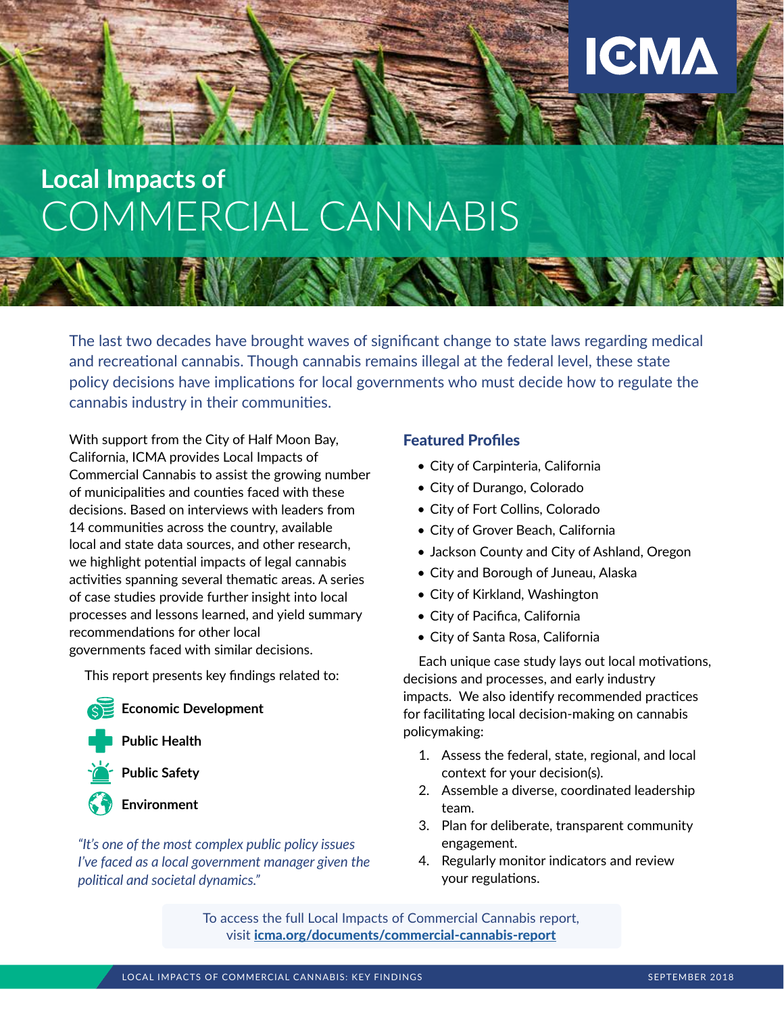# **Local Impacts of** COMMERCIAL CANNABIS

The last two decades have brought waves of significant change to state laws regarding medical and recreational cannabis. Though cannabis remains illegal at the federal level, these state policy decisions have implications for local governments who must decide how to regulate the cannabis industry in their communities.

With support from the City of Half Moon Bay, California, ICMA provides Local Impacts of Commercial Cannabis to assist the growing number of municipalities and counties faced with these decisions. Based on interviews with leaders from 14 communities across the country, available local and state data sources, and other research, we highlight potential impacts of legal cannabis activities spanning several thematic areas. A series of case studies provide further insight into local processes and lessons learned, and yield summary recommendations for other local governments faced with similar decisions.

This report presents key findings related to:

#### **Economic Development**



**Public Health**



**Environment**

*"It's one of the most complex public policy issues I've faced as a local government manager given the political and societal dynamics."*

#### Featured Profiles

- City of Carpinteria, California
- City of Durango, Colorado
- City of Fort Collins, Colorado
- City of Grover Beach, California
- Jackson County and City of Ashland, Oregon

**ICMA** 

- City and Borough of Juneau, Alaska
- City of Kirkland, Washington
- City of Pacifica, California
- City of Santa Rosa, California

Each unique case study lays out local motivations, decisions and processes, and early industry impacts. We also identify recommended practices for facilitating local decision-making on cannabis policymaking:

- 1. Assess the federal, state, regional, and local context for your decision(s).
- 2. Assemble a diverse, coordinated leadership team.
- 3. Plan for deliberate, transparent community engagement.
- 4. Regularly monitor indicators and review your regulations.

To access the full Local Impacts of Commercial Cannabis report, visit [icma.org/documents/commercial-cannabis-report](http://icma.org/documents/commercial-cannabis-report)